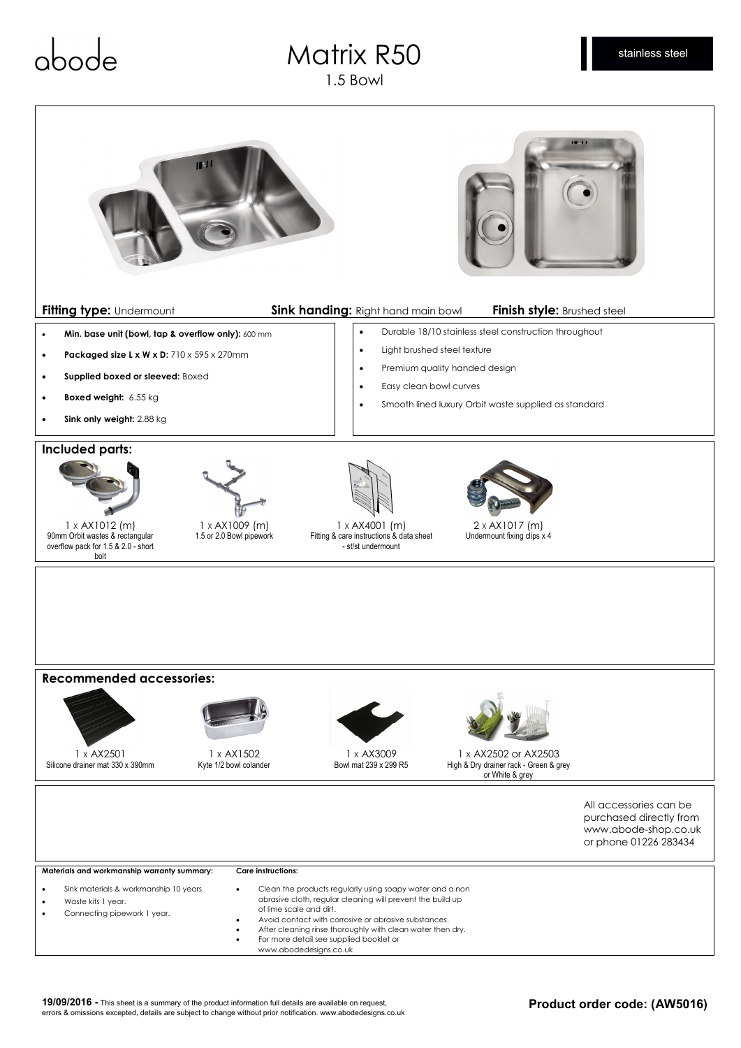## abod

## Matrix R50 1.5 Bowl